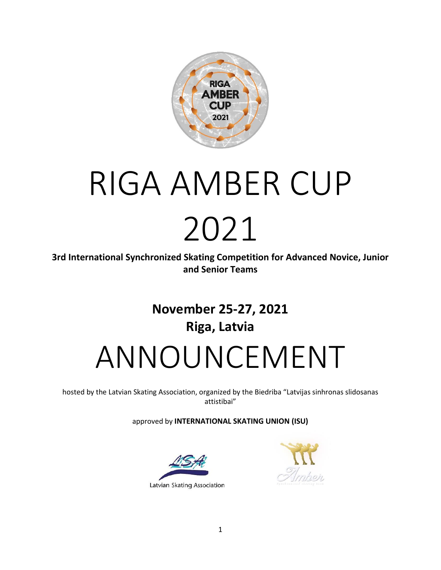

# RIGA AMBER CUP 2021

**3rd International Synchronized Skating Competition for Advanced Novice, Junior and Senior Teams**

## **November 25-27, 2021 Riga, Latvia** ANNOUNCEMENT

hosted by the Latvian Skating Association, organized by the Biedriba "Latvijas sinhronas slidosanas attistibai"

approved by **INTERNATIONAL SKATING UNION (ISU)**



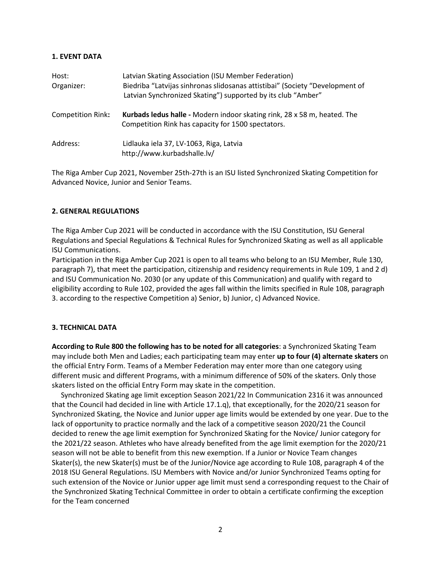#### **1. EVENT DATA**

| Host:<br>Organizer:      | Latvian Skating Association (ISU Member Federation)<br>Biedriba "Latvijas sinhronas slidosanas attistibai" (Society "Development of<br>Latvian Synchronized Skating") supported by its club "Amber" |
|--------------------------|-----------------------------------------------------------------------------------------------------------------------------------------------------------------------------------------------------|
| <b>Competition Rink:</b> | Kurbads ledus halle - Modern indoor skating rink, 28 x 58 m, heated. The<br>Competition Rink has capacity for 1500 spectators.                                                                      |
| Address:                 | Lidlauka iela 37, LV-1063, Riga, Latvia<br>http://www.kurbadshalle.lv/                                                                                                                              |

The Riga Amber Cup 2021, November 25th-27th is an ISU listed Synchronized Skating Competition for Advanced Novice, Junior and Senior Teams.

#### **2. GENERAL REGULATIONS**

The Riga Amber Cup 2021 will be conducted in accordance with the ISU Constitution, ISU General Regulations and Special Regulations & Technical Rules for Synchronized Skating as well as all applicable ISU Communications.

Participation in the Riga Amber Cup 2021 is open to all teams who belong to an ISU Member, Rule 130, paragraph 7), that meet the participation, citizenship and residency requirements in Rule 109, 1 and 2 d) and ISU Communication No. 2030 (or any update of this Communication) and qualify with regard to eligibility according to Rule 102, provided the ages fall within the limits specified in Rule 108, paragraph 3. according to the respective Competition a) Senior, b) Junior, c) Advanced Novice.

#### **3. TECHNICAL DATA**

**According to Rule 800 the following has to be noted for all categories**: a Synchronized Skating Team may include both Men and Ladies; each participating team may enter **up to four (4) alternate skaters** on the official Entry Form. Teams of a Member Federation may enter more than one category using different music and different Programs, with a minimum difference of 50% of the skaters. Only those skaters listed on the official Entry Form may skate in the competition.

 Synchronized Skating age limit exception Season 2021/22 In Communication 2316 it was announced that the Council had decided in line with Article 17.1.q), that exceptionally, for the 2020/21 season for Synchronized Skating, the Novice and Junior upper age limits would be extended by one year. Due to the lack of opportunity to practice normally and the lack of a competitive season 2020/21 the Council decided to renew the age limit exemption for Synchronized Skating for the Novice/ Junior category for the 2021/22 season. Athletes who have already benefited from the age limit exemption for the 2020/21 season will not be able to benefit from this new exemption. If a Junior or Novice Team changes Skater(s), the new Skater(s) must be of the Junior/Novice age according to Rule 108, paragraph 4 of the 2018 ISU General Regulations. ISU Members with Novice and/or Junior Synchronized Teams opting for such extension of the Novice or Junior upper age limit must send a corresponding request to the Chair of the Synchronized Skating Technical Committee in order to obtain a certificate confirming the exception for the Team concerned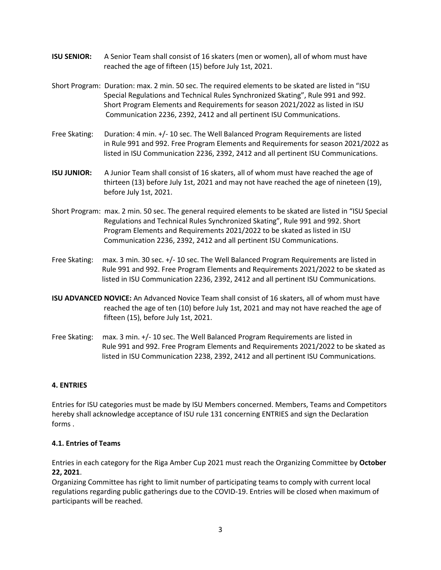- **ISU SENIOR:** A Senior Team shall consist of 16 skaters (men or women), all of whom must have reached the age of fifteen (15) before July 1st, 2021.
- Short Program: Duration: max. 2 min. 50 sec. The required elements to be skated are listed in "ISU Special Regulations and Technical Rules Synchronized Skating", Rule 991 and 992. Short Program Elements and Requirements for season 2021/2022 as listed in ISU Communication 2236, 2392, 2412 and all pertinent ISU Communications.
- Free Skating: Duration: 4 min. +/- 10 sec. The Well Balanced Program Requirements are listed in Rule 991 and 992. Free Program Elements and Requirements for season 2021/2022 as listed in ISU Communication 2236, 2392, 2412 and all pertinent ISU Communications.
- **ISU JUNIOR:** A Junior Team shall consist of 16 skaters, all of whom must have reached the age of thirteen (13) before July 1st, 2021 and may not have reached the age of nineteen (19), before July 1st, 2021.
- Short Program: max. 2 min. 50 sec. The general required elements to be skated are listed in "ISU Special Regulations and Technical Rules Synchronized Skating", Rule 991 and 992. Short Program Elements and Requirements 2021/2022 to be skated as listed in ISU Communication 2236, 2392, 2412 and all pertinent ISU Communications.
- Free Skating: max. 3 min. 30 sec. +/- 10 sec. The Well Balanced Program Requirements are listed in Rule 991 and 992. Free Program Elements and Requirements 2021/2022 to be skated as listed in ISU Communication 2236, 2392, 2412 and all pertinent ISU Communications.
- **ISU ADVANCED NOVICE:** An Advanced Novice Team shall consist of 16 skaters, all of whom must have reached the age of ten (10) before July 1st, 2021 and may not have reached the age of fifteen (15), before July 1st, 2021.
- Free Skating: max. 3 min. +/- 10 sec. The Well Balanced Program Requirements are listed in Rule 991 and 992. Free Program Elements and Requirements 2021/2022 to be skated as listed in ISU Communication 2238, 2392, 2412 and all pertinent ISU Communications.

#### **4. ENTRIES**

Entries for ISU categories must be made by ISU Members concerned. Members, Teams and Competitors hereby shall acknowledge acceptance of ISU rule 131 concerning ENTRIES and sign the Declaration forms .

#### **4.1. Entries of Teams**

Entries in each category for the Riga Amber Cup 2021 must reach the Organizing Committee by **October 22, 2021**.

Organizing Committee has right to limit number of participating teams to comply with current local regulations regarding public gatherings due to the COVID-19. Entries will be closed when maximum of participants will be reached.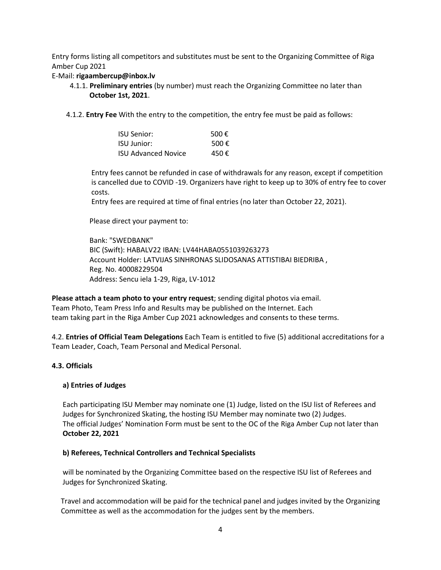Entry forms listing all competitors and substitutes must be sent to the Organizing Committee of Riga Amber Cup 2021

#### E-Mail: **rigaambercup@inbox.lv**

- 4.1.1. **Preliminary entries** (by number) must reach the Organizing Committee no later than **October 1st, 2021**.
- 4.1.2. **Entry Fee** With the entry to the competition, the entry fee must be paid as follows:

| ISU Senior:                | 500 $\epsilon$ |
|----------------------------|----------------|
| <b>ISU Junior:</b>         | 500 $\epsilon$ |
| <b>ISU Advanced Novice</b> | 450 €          |

 Entry fees cannot be refunded in case of withdrawals for any reason, except if competition is cancelled due to COVID -19. Organizers have right to keep up to 30% of entry fee to cover costs.

Entry fees are required at time of final entries (no later than October 22, 2021).

Please direct your payment to:

 Bank: "SWEDBANK" BIC (Swift): HABALV22 IBAN: LV44HABA0551039263273 Account Holder: LATVIJAS SINHRONAS SLIDOSANAS ATTISTIBAI BIEDRIBA , Reg. No. 40008229504 Address: Sencu iela 1-29, Riga, LV-1012

**Please attach a team photo to your entry request**; sending digital photos via email. Team Photo, Team Press Info and Results may be published on the Internet. Each team taking part in the Riga Amber Cup 2021 acknowledges and consents to these terms.

4.2. **Entries of Official Team Delegations** Each Team is entitled to five (5) additional accreditations for a Team Leader, Coach, Team Personal and Medical Personal.

#### **4.3. Officials**

#### **a) Entries of Judges**

 Each participating ISU Member may nominate one (1) Judge, listed on the ISU list of Referees and Judges for Synchronized Skating, the hosting ISU Member may nominate two (2) Judges. The official Judges' Nomination Form must be sent to the OC of the Riga Amber Cup not later than **October 22, 2021**

#### **b) Referees, Technical Controllers and Technical Specialists**

 will be nominated by the Organizing Committee based on the respective ISU list of Referees and Judges for Synchronized Skating.

 Travel and accommodation will be paid for the technical panel and judges invited by the Organizing Committee as well as the accommodation for the judges sent by the members.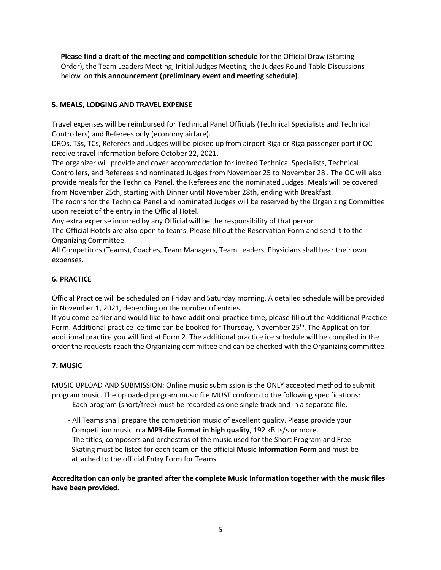**Please find a draft of the meeting and competition schedule** for the Official Draw (Starting Order), the Team Leaders Meeting, Initial Judges Meeting, the Judges Round Table Discussions below on **this announcement (preliminary event and meeting schedule)**.

#### **5. MEALS, LODGING AND TRAVEL EXPENSE**

Travel expenses will be reimbursed for Technical Panel Officials (Technical Specialists and Technical Controllers) and Referees only (economy airfare).

DROs, TSs, TCs, Referees and Judges will be picked up from airport Riga or Riga passenger port if OC receive travel information before October 22, 2021.

The organizer will provide and cover accommodation for invited Technical Specialists, Technical Controllers, and Referees and nominated Judges from November 25 to November 28 . The OC will also provide meals for the Technical Panel, the Referees and the nominated Judges. Meals will be covered from November 25th, starting with Dinner until November 28th, ending with Breakfast.

The rooms for the Technical Panel and nominated Judges will be reserved by the Organizing Committee upon receipt of the entry in the Official Hotel.

Any extra expense incurred by any Official will be the responsibility of that person.

The Official Hotels are also open to teams. Please fill out the Reservation Form and send it to the Organizing Committee.

All Competitors (Teams), Coaches, Team Managers, Team Leaders, Physicians shall bear their own expenses.

#### **6. PRACTICE**

Official Practice will be scheduled on Friday and Saturday morning. A detailed schedule will be provided in November 1, 2021, depending on the number of entries.

If you come earlier and would like to have additional practice time, please fill out the Additional Practice Form. Additional practice ice time can be booked for Thursday, November 25<sup>th</sup>. The Application for additional practice you will find at Form 2. The additional practice ice schedule will be compiled in the order the requests reach the Organizing committee and can be checked with the Organizing committee.

#### **7. MUSIC**

MUSIC UPLOAD AND SUBMISSION: Online music submission is the ONLY accepted method to submit program music. The uploaded program music file MUST conform to the following specifications:

- Each program (short/free) must be recorded as one single track and in a separate file.
- All Teams shall prepare the competition music of excellent quality. Please provide your Competition music in a **MP3-file Format in high quality**, 192 kBits/s or more.
- The titles, composers and orchestras of the music used for the Short Program and Free Skating must be listed for each team on the official **Music Information Form** and must be attached to the official Entry Form for Teams.

**Accreditation can only be granted after the complete Music Information together with the music files have been provided.**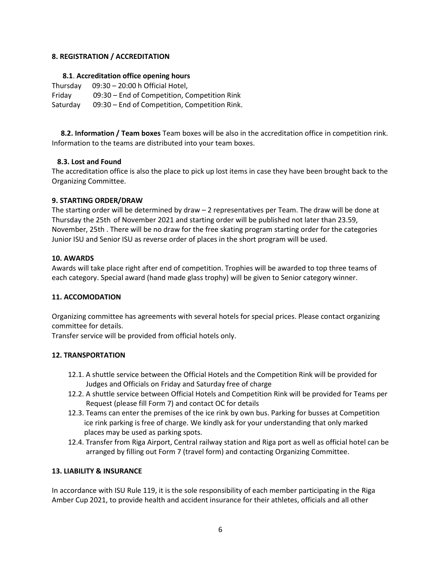#### **8. REGISTRATION / ACCREDITATION**

#### **8.1**. **Accreditation office opening hours**

Thursday 09:30 – 20:00 h Official Hotel, Friday 09:30 – End of Competition, Competition Rink Saturday 09:30 – End of Competition, Competition Rink.

 **8.2. Information / Team boxes** Team boxes will be also in the accreditation office in competition rink. Information to the teams are distributed into your team boxes.

#### **8.3. Lost and Found**

The accreditation office is also the place to pick up lost items in case they have been brought back to the Organizing Committee.

#### **9. STARTING ORDER/DRAW**

The starting order will be determined by draw – 2 representatives per Team. The draw will be done at Thursday the 25th of November 2021 and starting order will be published not later than 23.59, November, 25th . There will be no draw for the free skating program starting order for the categories Junior ISU and Senior ISU as reverse order of places in the short program will be used.

#### **10. AWARDS**

Awards will take place right after end of competition. Trophies will be awarded to top three teams of each category. Special award (hand made glass trophy) will be given to Senior category winner.

#### **11. ACCOMODATION**

Organizing committee has agreements with several hotels for special prices. Please contact organizing committee for details.

Transfer service will be provided from official hotels only.

#### **12. TRANSPORTATION**

- 12.1. A shuttle service between the Official Hotels and the Competition Rink will be provided for Judges and Officials on Friday and Saturday free of charge
- 12.2. A shuttle service between Official Hotels and Competition Rink will be provided for Teams per Request (please fill Form 7) and contact OC for details
- 12.3. Teams can enter the premises of the ice rink by own bus. Parking for busses at Competition ice rink parking is free of charge. We kindly ask for your understanding that only marked places may be used as parking spots.
- 12.4. Transfer from Riga Airport, Central railway station and Riga port as well as official hotel can be arranged by filling out Form 7 (travel form) and contacting Organizing Committee.

#### **13. LIABILITY & INSURANCE**

In accordance with ISU Rule 119, it is the sole responsibility of each member participating in the Riga Amber Cup 2021, to provide health and accident insurance for their athletes, officials and all other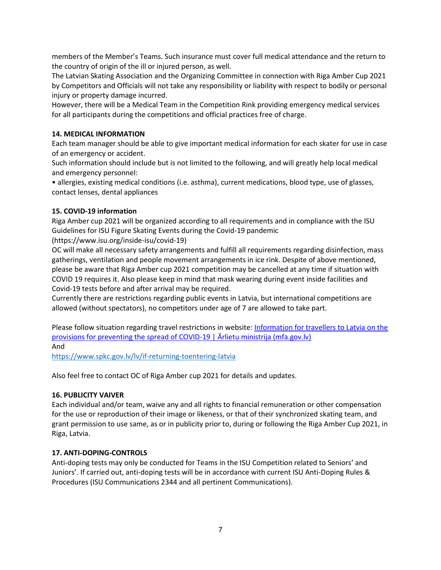members of the Member's Teams. Such insurance must cover full medical attendance and the return to the country of origin of the ill or injured person, as well.

The Latvian Skating Association and the Organizing Committee in connection with Riga Amber Cup 2021 by Competitors and Officials will not take any responsibility or liability with respect to bodily or personal injury or property damage incurred.

However, there will be a Medical Team in the Competition Rink providing emergency medical services for all participants during the competitions and official practices free of charge.

#### **14. MEDICAL INFORMATION**

Each team manager should be able to give important medical information for each skater for use in case of an emergency or accident.

Such information should include but is not limited to the following, and will greatly help local medical and emergency personnel:

• allergies, existing medical conditions (i.e. asthma), current medications, blood type, use of glasses, contact lenses, dental appliances

#### **15. COVID-19 information**

Riga Amber cup 2021 will be organized according to all requirements and in compliance with the ISU Guidelines for ISU Figure Skating Events during the Covid-19 pandemic

(https://www.isu.org/inside-isu/covid-19)

OC will make all necessary safety arrangements and fulfill all requirements regarding disinfection, mass gatherings, ventilation and people movement arrangements in ice rink. Despite of above mentioned, please be aware that Riga Amber cup 2021 competition may be cancelled at any time if situation with COVID 19 requires it. Also please keep in mind that mask wearing during event inside facilities and Covid-19 tests before and after arrival may be required.

Currently there are restrictions regarding public events in Latvia, but international competitions are allowed (without spectators), no competitors under age of 7 are allowed to take part.

Please follow situation regarding travel restrictions in website: Information for travellers to Latvia on the [provisions for preventing the spread of COVID-](https://www.mfa.gov.lv/en/information-travellers-latvia-provisions-preventing-spread-covid-19)19  $\vert$   $\bar{A}$ rlietu ministrija (mfa.gov.lv) And

<https://www.spkc.gov.lv/lv/if-returning-toentering-latvia>

Also feel free to contact OC of Riga Amber cup 2021 for details and updates.

#### **16. PUBLICITY VAIVER**

Each individual and/or team, waive any and all rights to financial remuneration or other compensation for the use or reproduction of their image or likeness, or that of their synchronized skating team, and grant permission to use same, as or in publicity prior to, during or following the Riga Amber Cup 2021, in Riga, Latvia.

#### **17. ANTI-DOPING-CONTROLS**

Anti-doping tests may only be conducted for Teams in the ISU Competition related to Seniors' and Juniors'. If carried out, anti-doping tests will be in accordance with current ISU Anti-Doping Rules & Procedures (ISU Communications 2344 and all pertinent Communications).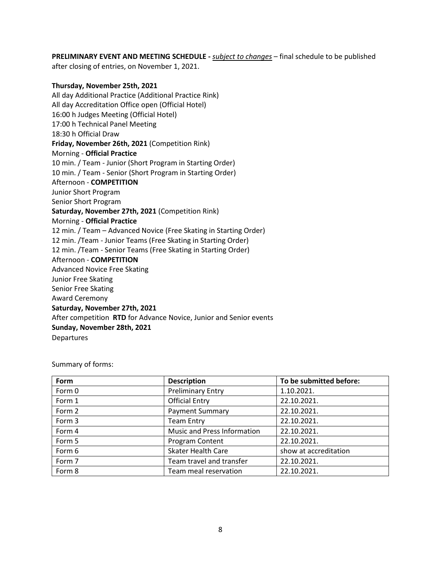**PRELIMINARY EVENT AND MEETING SCHEDULE -** *subject to changes* – final schedule to be published after closing of entries, on November 1, 2021.

#### **Thursday, November 25th, 2021** All day Additional Practice (Additional Practice Rink) All day Accreditation Office open (Official Hotel) 16:00 h Judges Meeting (Official Hotel) 17:00 h Technical Panel Meeting 18:30 h Official Draw **Friday, November 26th, 2021** (Competition Rink) Morning - **Official Practice**  10 min. / Team - Junior (Short Program in Starting Order) 10 min. / Team - Senior (Short Program in Starting Order) Afternoon - **COMPETITION**  Junior Short Program Senior Short Program **Saturday, November 27th, 2021** (Competition Rink) Morning - **Official Practice**  12 min. / Team – Advanced Novice (Free Skating in Starting Order) 12 min. /Team - Junior Teams (Free Skating in Starting Order) 12 min. /Team - Senior Teams (Free Skating in Starting Order) Afternoon - **COMPETITION**  Advanced Novice Free Skating Junior Free Skating Senior Free Skating Award Ceremony **Saturday, November 27th, 2021** After competition **RTD** for Advance Novice, Junior and Senior events **Sunday, November 28th, 2021** Departures

Summary of forms:

| Form   | <b>Description</b>                 | To be submitted before: |
|--------|------------------------------------|-------------------------|
| Form 0 | <b>Preliminary Entry</b>           | 1.10.2021.              |
| Form 1 | <b>Official Entry</b>              | 22.10.2021.             |
| Form 2 | <b>Payment Summary</b>             | 22.10.2021.             |
| Form 3 | <b>Team Entry</b>                  | 22.10.2021.             |
| Form 4 | <b>Music and Press Information</b> | 22.10.2021.             |
| Form 5 | Program Content                    | 22.10.2021.             |
| Form 6 | <b>Skater Health Care</b>          | show at accreditation   |
| Form 7 | Team travel and transfer           | 22.10.2021.             |
| Form 8 | Team meal reservation              | 22.10.2021.             |